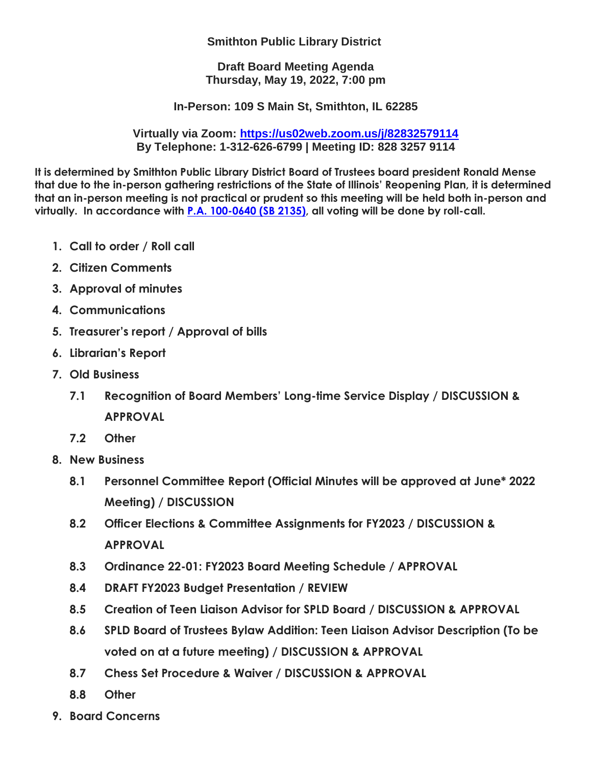## **Smithton Public Library District**

**Draft Board Meeting Agenda Thursday, May 19, 2022, 7:00 pm**

**In-Person: 109 S Main St, Smithton, IL 62285**

**Virtually via Zoom:<https://us02web.zoom.us/j/82832579114> By Telephone: 1-312-626-6799 | Meeting ID: 828 3257 9114**

**It is determined by Smithton Public Library District Board of Trustees board president Ronald Mense that due to the in-person gathering restrictions of the State of Illinois' Reopening Plan, it is determined that an in-person meeting is not practical or prudent so this meeting will be held both in-person and virtually. In accordance with [P.A. 100-0640 \(SB 2135\),](http://www.ilga.gov/legislation/publicacts/101/101-0640.htm) all voting will be done by roll-call.**

- **1. Call to order / Roll call**
- **2. Citizen Comments**
- **3. Approval of minutes**
- **4. Communications**
- **5. Treasurer's report / Approval of bills**
- **6. Librarian's Report**
- **7. Old Business**
	- **7.1 Recognition of Board Members' Long-time Service Display / DISCUSSION & APPROVAL**
	- **7.2 Other**
- **8. New Business** 
	- **8.1 Personnel Committee Report (Official Minutes will be approved at June\* 2022 Meeting) / DISCUSSION**
	- **8.2 Officer Elections & Committee Assignments for FY2023 / DISCUSSION & APPROVAL**
	- **8.3 Ordinance 22-01: FY2023 Board Meeting Schedule / APPROVAL**
	- **8.4 DRAFT FY2023 Budget Presentation / REVIEW**
	- **8.5 Creation of Teen Liaison Advisor for SPLD Board / DISCUSSION & APPROVAL**
	- **8.6 SPLD Board of Trustees Bylaw Addition: Teen Liaison Advisor Description (To be voted on at a future meeting) / DISCUSSION & APPROVAL**
	- **8.7 Chess Set Procedure & Waiver / DISCUSSION & APPROVAL**
	- **8.8 Other**
- **9. Board Concerns**